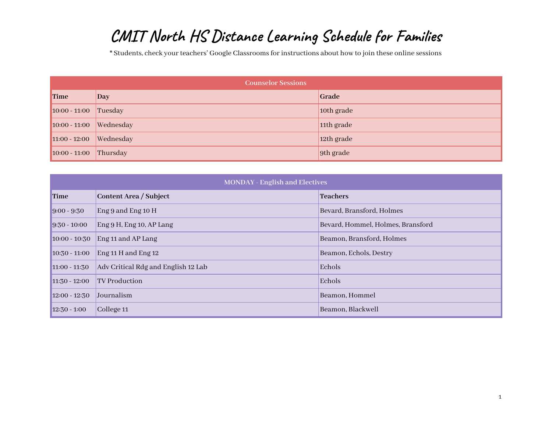## **CMIT North HS Distance Learning Schedule for Families**

\* Students, check your teachers' Google Classrooms for instructions about how to join these online sessions

| <b>Counselor Sessions</b> |           |                        |
|---------------------------|-----------|------------------------|
| Time                      | Day       | Grade                  |
| $10:00 - 11:00$ Tuesday   |           | 10th grade             |
| $10:00 - 11:00$           | Wednesday | 11 <sup>th</sup> grade |
| $11:00 - 12:00$           | Wednesday | 12th grade             |
| $10:00 - 11:00$ Thursday  |           | 9th grade              |

| <b>MONDAY - English and Electives</b> |                                     |                                   |
|---------------------------------------|-------------------------------------|-----------------------------------|
| Time                                  | Content Area / Subject              | <b>Teachers</b>                   |
| $ 9:00 - 9:30 $                       | Eng 9 and Eng 10 $H$                | Bevard, Bransford, Holmes         |
| $ 9:30 - 10:00 $                      | Eng 9 H, Eng 10, AP Lang            | Bevard, Hommel, Holmes, Bransford |
| $10:00 - 10:30$                       | Eng 11 and AP Lang                  | Beamon, Bransford, Holmes         |
| $10:30 - 11:00$                       | Eng 11 H and Eng 12                 | Beamon, Echols, Destry            |
| $11:00 - 11:30$                       | Adv Critical Rdg and English 12 Lab | Echols                            |
| $11:30 - 12:00$                       | <b>TV Production</b>                | Echols                            |
| $12:00 - 12:30$                       | Journalism                          | Beamon, Hommel                    |
| $12:30 - 1:00$                        | College 11                          | Beamon, Blackwell                 |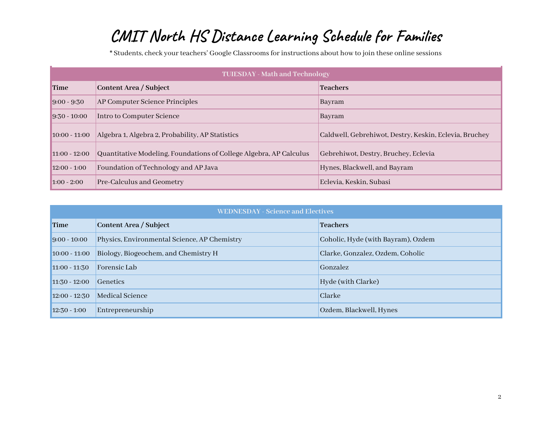## **CMIT North HS Distance Learning Schedule for Families**

\* Students, check your teachers' Google Classrooms for instructions about how to join these online sessions

| <b>TUIESDAY - Math and Technology</b> |                                                                    |                                                        |
|---------------------------------------|--------------------------------------------------------------------|--------------------------------------------------------|
| <b>Time</b>                           | Content Area / Subject                                             | <b>Teachers</b>                                        |
| $9:00 - 9:30$                         | AP Computer Science Principles                                     | Bayram                                                 |
| $9:30 - 10:00$                        | Intro to Computer Science                                          | Bayram                                                 |
| $10:00 - 11:00$                       | Algebra 1, Algebra 2, Probability, AP Statistics                   | Caldwell, Gebrehiwot, Destry, Keskin, Eclevia, Bruchey |
| $11:00 - 12:00$                       | Quantitative Modeling, Foundations of College Algebra, AP Calculus | Gebrehiwot, Destry, Bruchey, Eclevia                   |
| $12:00 - 1:00$                        | Foundation of Technology and AP Java                               | Hynes, Blackwell, and Bayram                           |
| $1:00 - 2:00$                         | Pre-Calculus and Geometry                                          | Eclevia, Keskin, Subasi                                |

| <b>WEDNESDAY - Science and Electives</b> |                                              |                                    |  |
|------------------------------------------|----------------------------------------------|------------------------------------|--|
| <b>Time</b>                              | Content Area / Subject                       | <b>Teachers</b>                    |  |
| $9:00 - 10:00$                           | Physics, Environmental Science, AP Chemistry | Coholic, Hyde (with Bayram), Ozdem |  |
| $10:00 - 11:00$                          | Biology, Biogeochem, and Chemistry H         | Clarke, Gonzalez, Ozdem, Coholic   |  |
| $11:00 - 11:30$                          | Forensic Lab                                 | Gonzalez                           |  |
| $11:30 - 12:00$                          | <b>Genetics</b>                              | Hyde (with Clarke)                 |  |
| $12:00 - 12:30$                          | Medical Science                              | Clarke                             |  |
| $12:30 - 1:00$                           | Entrepreneurship                             | Ozdem, Blackwell, Hynes            |  |